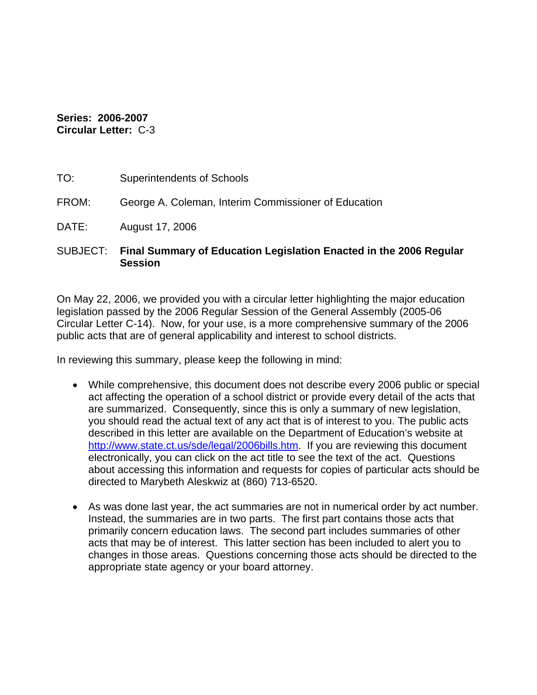#### **Series: 2006-2007 Circular Letter:** C-3

| TO:      | <b>Superintendents of Schools</b>                                         |
|----------|---------------------------------------------------------------------------|
| FROM:    | George A. Coleman, Interim Commissioner of Education                      |
| DATE:    | August 17, 2006                                                           |
| SUBJECT: | <b>Final Summary of Education Legislation Enacted in the 2006 Requial</b> |

## SUBJECT: **Final Summary of Education Legislation Enacted in the 2006 Regular Session**

On May 22, 2006, we provided you with a circular letter highlighting the major education legislation passed by the 2006 Regular Session of the General Assembly (2005-06 Circular Letter C-14). Now, for your use, is a more comprehensive summary of the 2006 public acts that are of general applicability and interest to school districts.

In reviewing this summary, please keep the following in mind:

- While comprehensive, this document does not describe every 2006 public or special act affecting the operation of a school district or provide every detail of the acts that are summarized. Consequently, since this is only a summary of new legislation, you should read the actual text of any act that is of interest to you. The public acts described in this letter are available on the Department of Education's website at <http://www.state.ct.us/sde/legal/2006bills.htm>. If you are reviewing this document electronically, you can click on the act title to see the text of the act. Questions about accessing this information and requests for copies of particular acts should be directed to Marybeth Aleskwiz at (860) 713-6520.
- As was done last year, the act summaries are not in numerical order by act number. Instead, the summaries are in two parts. The first part contains those acts that primarily concern education laws. The second part includes summaries of other acts that may be of interest. This latter section has been included to alert you to changes in those areas. Questions concerning those acts should be directed to the appropriate state agency or your board attorney.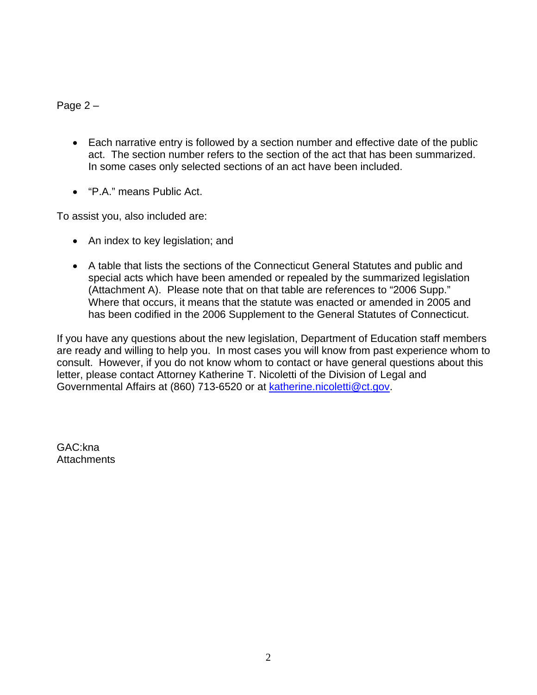Page 2 –

- Each narrative entry is followed by a section number and effective date of the public act. The section number refers to the section of the act that has been summarized. In some cases only selected sections of an act have been included.
- "P.A." means Public Act.

To assist you, also included are:

- An index to key legislation; and
- A table that lists the sections of the Connecticut General Statutes and public and special acts which have been amended or repealed by the summarized legislation (Attachment A). Please note that on that table are references to "2006 Supp." Where that occurs, it means that the statute was enacted or amended in 2005 and has been codified in the 2006 Supplement to the General Statutes of Connecticut.

If you have any questions about the new legislation, Department of Education staff members are ready and willing to help you. In most cases you will know from past experience whom to consult. However, if you do not know whom to contact or have general questions about this letter, please contact Attorney Katherine T. Nicoletti of the Division of Legal and Governmental Affairs at (860) 713-6520 or at [katherine.nicoletti@ct.gov](mailto:katherine.nicoletti@ct.gov).

GAC:kna **Attachments**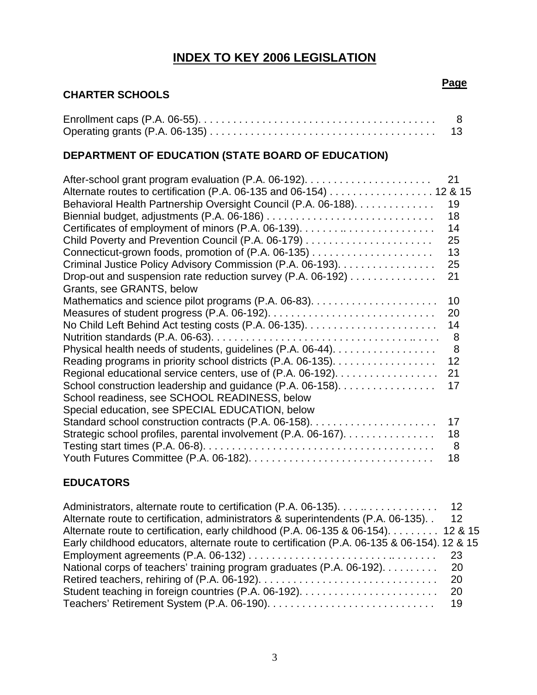## **INDEX TO KEY 2006 LEGISLATION**

## **CHARTER SCHOOLS**

#### Enrollment caps (P.A. 06-55). . . . . . . . . . . . . . . . . . . . . . . . . . . . . . . . . . . . . . . . . 8 Operating grants (P.A. 06-135) . . . . . . . . . . . . . . . . . . . . . . . . . . . . . . . . . . . . . . . 13

## **DEPARTMENT OF EDUCATION (STATE BOARD OF EDUCATION)**

|                                                                    | 21 |
|--------------------------------------------------------------------|----|
| Alternate routes to certification (P.A. 06-135 and 06-154) 12 & 15 |    |
| Behavioral Health Partnership Oversight Council (P.A. 06-188).     | 19 |
|                                                                    | 18 |
|                                                                    | 14 |
|                                                                    | 25 |
|                                                                    | 13 |
| Criminal Justice Policy Advisory Commission (P.A. 06-193).         | 25 |
| Drop-out and suspension rate reduction survey (P.A. 06-192)        | 21 |
| Grants, see GRANTS, below                                          |    |
|                                                                    | 10 |
|                                                                    | 20 |
|                                                                    | 14 |
|                                                                    | 8  |
|                                                                    | 8  |
| Reading programs in priority school districts (P.A. 06-135).       | 12 |
| Regional educational service centers, use of (P.A. 06-192).        | 21 |
| School construction leadership and guidance (P.A. 06-158).         | 17 |
| School readiness, see SCHOOL READINESS, below                      |    |
| Special education, see SPECIAL EDUCATION, below                    |    |
|                                                                    | 17 |
| Strategic school profiles, parental involvement (P.A. 06-167).     | 18 |
|                                                                    | 8  |
|                                                                    | 18 |

#### **EDUCATORS**

| Administrators, alternate route to certification (P.A. 06-135). 12                          |     |  |
|---------------------------------------------------------------------------------------------|-----|--|
| Alternate route to certification, administrators & superintendents (P.A. 06-135).           | -12 |  |
| Alternate route to certification, early childhood (P.A. 06-135 & 06-154) 12 & 15            |     |  |
| Early childhood educators, alternate route to certification (P.A. 06-135 & 06-154). 12 & 15 |     |  |
|                                                                                             |     |  |
| National corps of teachers' training program graduates (P.A. 06-192). 20                    |     |  |
|                                                                                             |     |  |
|                                                                                             |     |  |
|                                                                                             |     |  |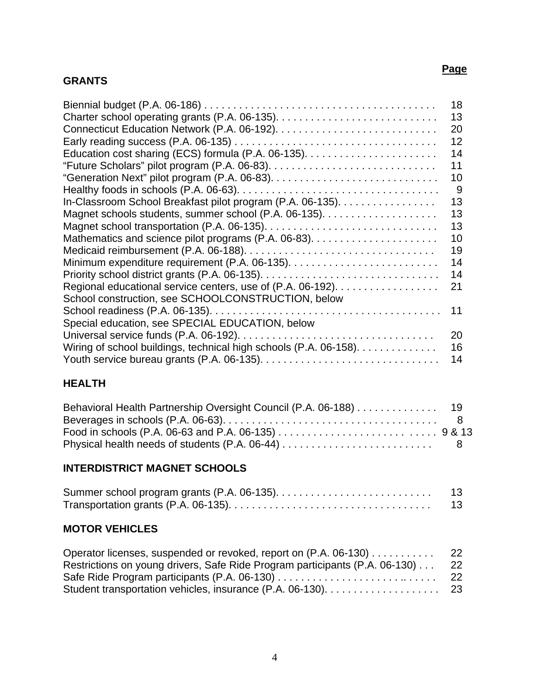#### **GRANTS**

#### Biennial budget (P.A. 06-186) . . . . . . . . . . . . . . . . . . . . . . . . . . . . . . . . . . . . . . . . 18 Charter school operating grants (P.A. 06-135). . . . . . . . . . . . . . . . . . . . . . . . . . . . 13 Connecticut Education Network (P.A. 06-192). . . . . . . . . . . . . . . . . . . . . . . . . . . . 20 Early reading success (P.A. 06-135) . . . . . . . . . . . . . . . . . . . . . . . . . . . . . . . . . . . 12 Education cost sharing (ECS) formula (P.A. 06-135). . . . . . . . . . . . . . . . . . . . . . . 14 "Future Scholars" pilot program (P.A. 06-83). . . . . . . . . . . . . . . . . . . . . . . . . . . . . 11 "Generation Next" pilot program (P.A. 06-83). . . . . . . . . . . . . . . . . . . . . . . . . . . . . 10 Healthy foods in schools (P.A. 06-63). . . . . . . . . . . . . . . . . . . . . . . . . . . . . . . . . . . 9 In-Classroom School Breakfast pilot program (P.A. 06-135). . . . . . . . . . . . . . . . . 13 Magnet schools students, summer school (P.A. 06-135). . . . . . . . . . . . . . . . . . . . 13 Magnet school transportation (P.A. 06-135). . . . . . . . . . . . . . . . . . . . . . . . . . . . . . 13 Mathematics and science pilot programs (P.A. 06-83). . . . . . . . . . . . . . . . . . . . . . 10 Medicaid reimbursement (P.A. 06-188). . . . . . . . . . . . . . . . . . . . . . . . . . . . . . . . . 19 Minimum expenditure requirement (P.A. 06-135). . . . . . . . . . . . . . . . . . . . . . . . . . 14 Priority school district grants (P.A. 06-135). . . . . . . . . . . . . . . . . . . . . . . . . . . . . . . 14 Regional educational service centers, use of (P.A. 06-192). . . . . . . . . . . . . . . . . 21 School construction, see SCHOOLCONSTRUCTION, below School readiness (P.A. 06-135). . . . . . . . . . . . . . . . . . . . . . . . . . . . . . . . . . . . . . . . 11 Special education, see SPECIAL EDUCATION, below Universal service funds (P.A. 06-192). . . . . . . . . . . . . . . . . . . . . . . . . . . . . . . . . . 20 Wiring of school buildings, technical high schools (P.A. 06-158). . . . . . . . . . . . . . . 16 Youth service bureau grants (P.A. 06-135). . . . . . . . . . . . . . . . . . . . . . . . . . . . . . . 14

#### **HEALTH**

| Behavioral Health Partnership Oversight Council (P.A. 06-188) 19 |  |
|------------------------------------------------------------------|--|
|                                                                  |  |
|                                                                  |  |
|                                                                  |  |

#### **INTERDISTRICT MAGNET SCHOOLS**

| -13- |
|------|
| 13   |

#### **MOTOR VEHICLES**

| Operator licenses, suspended or revoked, report on (P.A. 06-130) 22         |    |
|-----------------------------------------------------------------------------|----|
| Restrictions on young drivers, Safe Ride Program participants (P.A. 06-130) | 22 |
|                                                                             |    |
|                                                                             |    |

#### **Page** (2008) and the contract of the contract of the contract of the contract of the contract of the contract of the contract of the contract of the contract of the contract of the contract of the contract of the contract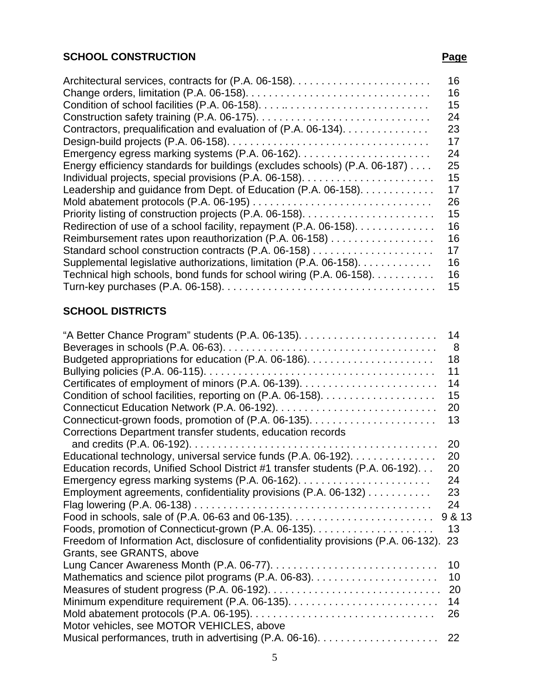#### **SCHOOL CONSTRUCTION Page**

#### Architectural services, contracts for (P.A. 06-158). . . . . . . . . . . . . . . . . . . . . . . . 16 Change orders, limitation (P.A. 06-158). . . . . . . . . . . . . . . . . . . . . . . . . . . . . . . . 16 Condition of school facilities (P.A. 06-158). . . . .. . . . . . . . . . . . . . . . . . . . . . . . . 15 Construction safety training (P.A. 06-175). . . . . . . . . . . . . . . . . . . . . . . . . . . . . . 24 Contractors, prequalification and evaluation of (P.A. 06-134). . . . . . . . . . . . . . . 23 Design-build projects (P.A. 06-158). . . . . . . . . . . . . . . . . . . . . . . . . . . . . . . . . . . 17 Emergency egress marking systems (P.A. 06-162). . . . . . . . . . . . . . . . . . . . . . . 24 Energy efficiency standards for buildings (excludes schools) (P.A. 06-187) . . . . 25 Individual projects, special provisions (P.A. 06-158). . . . . . . . . . . . . . . . . . . . . . . 15 Leadership and quidance from Dept. of Education (P.A. 06-158). . . . . . . . . . . . . 17 Mold abatement protocols (P.A. 06-195) . . . . . . . . . . . . . . . . . . . . . . . . . . . . . . . 26 Priority listing of construction projects (P.A. 06-158). . . . . . . . . . . . . . . . . . . . . . . 15 Redirection of use of a school facility, repayment (P.A. 06-158). . . . . . . . . . . . . . 16 Reimbursement rates upon reauthorization (P.A. 06-158) . . . . . . . . . . . . . . . . . . 16 Standard school construction contracts (P.A. 06-158) . . . . . . . . . . . . . . . . . . . . . 17 Supplemental legislative authorizations, limitation (P.A. 06-158). . . . . . . . . . . . . 16 Technical high schools, bond funds for school wiring (P.A. 06-158). . . . . . . . . . . 16 Turn-key purchases (P.A. 06-158). . . . . . . . . . . . . . . . . . . . . . . . . . . . . . . . . . . . . 15

#### **SCHOOL DISTRICTS**

|                                                                                     | 14     |
|-------------------------------------------------------------------------------------|--------|
|                                                                                     | 8      |
|                                                                                     | 18     |
|                                                                                     | 11     |
|                                                                                     | 14     |
|                                                                                     | 15     |
|                                                                                     | 20     |
|                                                                                     | 13     |
| Corrections Department transfer students, education records                         |        |
|                                                                                     | 20     |
| Educational technology, universal service funds (P.A. 06-192).                      | 20     |
| Education records, Unified School District #1 transfer students (P.A. 06-192)       | 20     |
|                                                                                     | 24     |
| Employment agreements, confidentiality provisions (P.A. 06-132)                     | 23     |
|                                                                                     | 24     |
|                                                                                     | 9 & 13 |
|                                                                                     | 13     |
| Freedom of Information Act, disclosure of confidentiality provisions (P.A. 06-132). | 23     |
| Grants, see GRANTS, above                                                           |        |
|                                                                                     | 10     |
|                                                                                     | 10     |
|                                                                                     | 20     |
|                                                                                     | 14     |
|                                                                                     | 26     |
| Motor vehicles, see MOTOR VEHICLES, above                                           |        |
|                                                                                     | 22     |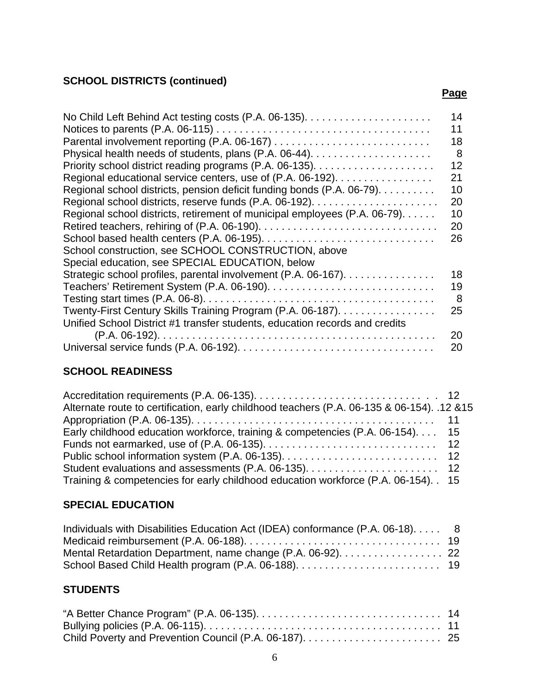## **SCHOOL DISTRICTS (continued)**

| 14<br>11 |
|----------|
| 18       |
| 8        |
| 12       |
| 21       |
| 10       |
| 20       |
| 10       |
| 20       |
| 26       |
|          |
|          |
| 18       |
| 19       |
| 8        |
| 25       |
|          |
| 20       |
| 20       |
|          |

**Page** in the contract of the contract of the contract of the contract of the contract of the contract of the contract of the contract of the contract of the contract of the contract of the contract of the contract of the

## **SCHOOL READINESS**

| Alternate route to certification, early childhood teachers (P.A. 06-135 & 06-154). .12 & 15 |  |
|---------------------------------------------------------------------------------------------|--|
|                                                                                             |  |
| Early childhood education workforce, training & competencies (P.A. 06-154) 15               |  |
|                                                                                             |  |
|                                                                                             |  |
|                                                                                             |  |
| Training & competencies for early childhood education workforce (P.A. 06-154). . 15         |  |

# **SPECIAL EDUCATION**

| Individuals with Disabilities Education Act (IDEA) conformance (P.A. 06-18) 8 |  |
|-------------------------------------------------------------------------------|--|
|                                                                               |  |
| Mental Retardation Department, name change (P.A. 06-92). 22                   |  |
|                                                                               |  |

## **STUDENTS**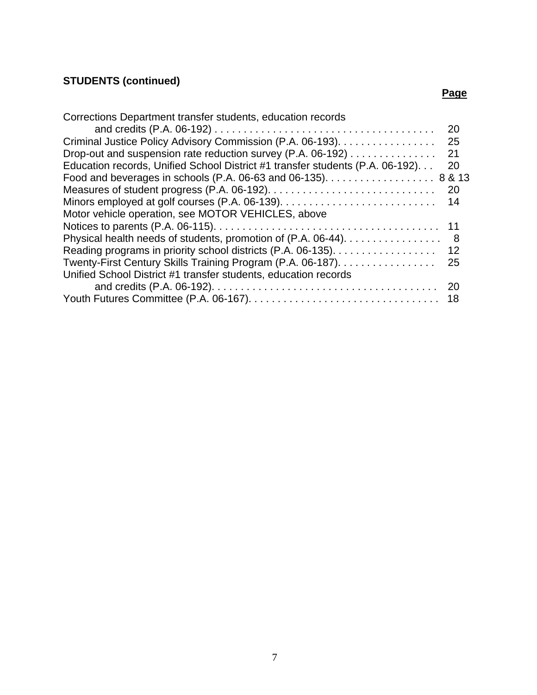# **STUDENTS (continued)**

#### **Page** in the contract of the contract of the contract of the contract of the contract of the contract of the contract of the contract of the contract of the contract of the contract of the contract of the contract of the

| Corrections Department transfer students, education records                   |           |
|-------------------------------------------------------------------------------|-----------|
|                                                                               | <b>20</b> |
| Criminal Justice Policy Advisory Commission (P.A. 06-193).                    | 25        |
| Drop-out and suspension rate reduction survey (P.A. 06-192)                   | 21        |
| Education records, Unified School District #1 transfer students (P.A. 06-192) | 20        |
| Food and beverages in schools (P.A. 06-63 and 06-135). 8 & 13                 |           |
|                                                                               | <b>20</b> |
|                                                                               | 14        |
| Motor vehicle operation, see MOTOR VEHICLES, above                            |           |
|                                                                               | 11        |
| Physical health needs of students, promotion of (P.A. 06-44).                 | - 8       |
| Reading programs in priority school districts (P.A. 06-135).                  | 12        |
| Twenty-First Century Skills Training Program (P.A. 06-187).                   | 25        |
| Unified School District #1 transfer students, education records               |           |
|                                                                               |           |
|                                                                               |           |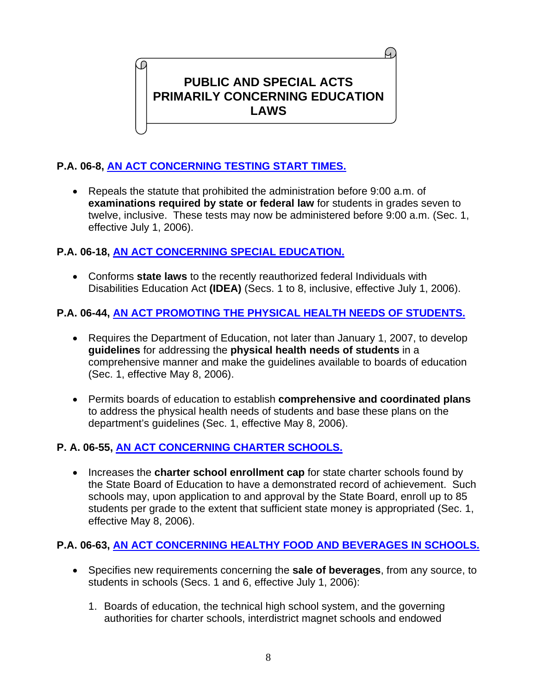# **PUBLIC AND SPECIAL ACTS PRIMARILY CONCERNING EDUCATION LAWS**

## **P.A. 06-8, [AN ACT CONCERNING TESTING START TIMES.](http://www.cga.ct.gov/2006/ACT/PA/2006PA-00008-R00SB-00384-PA.htm)**

O

• Repeals the statute that prohibited the administration before 9:00 a.m. of **examinations required by state or federal law** for students in grades seven to twelve, inclusive. These tests may now be administered before 9:00 a.m. (Sec. 1, effective July 1, 2006).

#### **P.A. 06-18, [AN ACT CONCERNING SPECIAL EDUCATION.](http://www.cga.ct.gov/2006/ACT/PA/2006PA-00018-R00SB-00380-PA.htm)**

• Conforms **state laws** to the recently reauthorized federal Individuals with Disabilities Education Act **(IDEA)** (Secs. 1 to 8, inclusive, effective July 1, 2006).

#### **P.A. 06-44, [AN ACT PROMOTING THE PHYSICAL HEALTH NEEDS OF STUDENTS.](http://www.cga.ct.gov/2006/ACT/PA/2006PA-00044-R00SB-00204-PA.htm)**

- Requires the Department of Education, not later than January 1, 2007, to develop **guidelines** for addressing the **physical health needs of students** in a comprehensive manner and make the guidelines available to boards of education (Sec. 1, effective May 8, 2006).
- Permits boards of education to establish **comprehensive and coordinated plans** to address the physical health needs of students and base these plans on the department's guidelines (Sec. 1, effective May 8, 2006).

#### **P. A. 06-55, [AN ACT CONCERNING CHARTER SCHOOLS.](http://www.cga.ct.gov/2006/ACT/PA/2006PA-00055-R00SB-00637-PA.htm)**

• Increases the **charter school enrollment cap** for state charter schools found by the State Board of Education to have a demonstrated record of achievement. Such schools may, upon application to and approval by the State Board, enroll up to 85 students per grade to the extent that sufficient state money is appropriated (Sec. 1, effective May 8, 2006).

## **P.A. 06-63, [AN ACT CONCERNING HEALTHY FOOD AND BEVERAGES IN SCHOOLS.](http://www.cga.ct.gov/2006/ACT/PA/2006PA-00063-R00SB-00373-PA.htm)**

- Specifies new requirements concerning the **sale of beverages**, from any source, to students in schools (Secs. 1 and 6, effective July 1, 2006):
	- 1. Boards of education, the technical high school system, and the governing authorities for charter schools, interdistrict magnet schools and endowed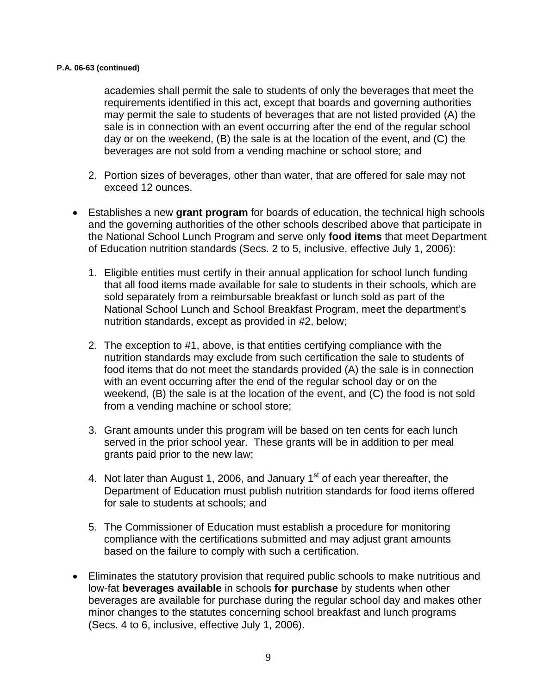#### **P.A. 06-63 (continued)**

academies shall permit the sale to students of only the beverages that meet the requirements identified in this act, except that boards and governing authorities may permit the sale to students of beverages that are not listed provided (A) the sale is in connection with an event occurring after the end of the regular school day or on the weekend, (B) the sale is at the location of the event, and (C) the beverages are not sold from a vending machine or school store; and

- 2. Portion sizes of beverages, other than water, that are offered for sale may not exceed 12 ounces.
- Establishes a new **grant program** for boards of education, the technical high schools and the governing authorities of the other schools described above that participate in the National School Lunch Program and serve only **food items** that meet Department of Education nutrition standards (Secs. 2 to 5, inclusive, effective July 1, 2006):
	- 1. Eligible entities must certify in their annual application for school lunch funding that all food items made available for sale to students in their schools, which are sold separately from a reimbursable breakfast or lunch sold as part of the National School Lunch and School Breakfast Program, meet the department's nutrition standards, except as provided in #2, below;
	- 2. The exception to #1, above, is that entities certifying compliance with the nutrition standards may exclude from such certification the sale to students of food items that do not meet the standards provided (A) the sale is in connection with an event occurring after the end of the regular school day or on the weekend, (B) the sale is at the location of the event, and (C) the food is not sold from a vending machine or school store;
	- 3. Grant amounts under this program will be based on ten cents for each lunch served in the prior school year. These grants will be in addition to per meal grants paid prior to the new law;
	- 4. Not later than August 1, 2006, and January  $1<sup>st</sup>$  of each year thereafter, the Department of Education must publish nutrition standards for food items offered for sale to students at schools; and
	- 5. The Commissioner of Education must establish a procedure for monitoring compliance with the certifications submitted and may adjust grant amounts based on the failure to comply with such a certification.
- Eliminates the statutory provision that required public schools to make nutritious and low-fat **beverages available** in schools **for purchase** by students when other beverages are available for purchase during the regular school day and makes other minor changes to the statutes concerning school breakfast and lunch programs (Secs. 4 to 6, inclusive, effective July 1, 2006).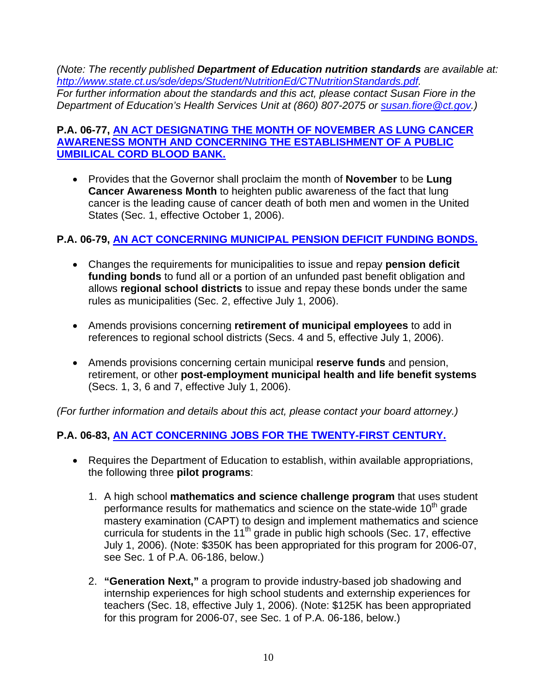*(Note: The recently published Department of Education nutrition standards are available at: <http://www.state.ct.us/sde/deps/Student/NutritionEd/CTNutritionStandards.pdf>. For further information about the standards and this act, please contact Susan Fiore in the Department of Education's Health Services Unit at (860) 807-2075 or [susan.fiore@ct.gov](mailto:susan.fiore@ct.gov).)* 

#### **P.A. 06-77, [AN ACT DESIGNATING THE MONTH OF NOVEMBER AS LUNG CANCER](http://www.cga.ct.gov/2006/ACT/PA/2006PA-00077-R00SB-00311-PA.htm)  [AWARENESS MONTH AND CONCERNING THE ESTABLISHMENT OF A PUBLIC](http://www.cga.ct.gov/2006/ACT/PA/2006PA-00077-R00SB-00311-PA.htm)  [UMBILICAL CORD BLOOD BANK.](http://www.cga.ct.gov/2006/ACT/PA/2006PA-00077-R00SB-00311-PA.htm)**

• Provides that the Governor shall proclaim the month of **November** to be **Lung Cancer Awareness Month** to heighten public awareness of the fact that lung cancer is the leading cause of cancer death of both men and women in the United States (Sec. 1, effective October 1, 2006).

#### **P.A. 06-79, [AN ACT CONCERNING MUNICIPAL PENSION DEFICIT FUNDING BONDS.](http://www.cga.ct.gov/2006/ACT/PA/2006PA-00079-R00SB-00533-PA.htm)**

- Changes the requirements for municipalities to issue and repay **pension deficit funding bonds** to fund all or a portion of an unfunded past benefit obligation and allows **regional school districts** to issue and repay these bonds under the same rules as municipalities (Sec. 2, effective July 1, 2006).
- Amends provisions concerning **retirement of municipal employees** to add in references to regional school districts (Secs. 4 and 5, effective July 1, 2006).
- Amends provisions concerning certain municipal **reserve funds** and pension, retirement, or other **post-employment municipal health and life benefit systems** (Secs. 1, 3, 6 and 7, effective July 1, 2006).

*(For further information and details about this act, please contact your board attorney.)* 

#### **P.A. 06-83, [AN ACT CONCERNING JOBS FOR THE TWENTY-FIRST CENTURY.](http://www.cga.ct.gov/2006/ACT/PA/2006PA-00083-R00SB-00702-PA.htm)**

- Requires the Department of Education to establish, within available appropriations, the following three **pilot programs**:
	- 1. A high school **mathematics and science challenge program** that uses student performance results for mathematics and science on the state-wide  $10<sup>th</sup>$  grade mastery examination (CAPT) to design and implement mathematics and science curricula for students in the 11<sup>th</sup> grade in public high schools (Sec. 17, effective July 1, 2006). (Note: \$350K has been appropriated for this program for 2006-07, see Sec. 1 of P.A. 06-186, below.)
	- 2. **"Generation Next,"** a program to provide industry-based job shadowing and internship experiences for high school students and externship experiences for teachers (Sec. 18, effective July 1, 2006). (Note: \$125K has been appropriated for this program for 2006-07, see Sec. 1 of P.A. 06-186, below.)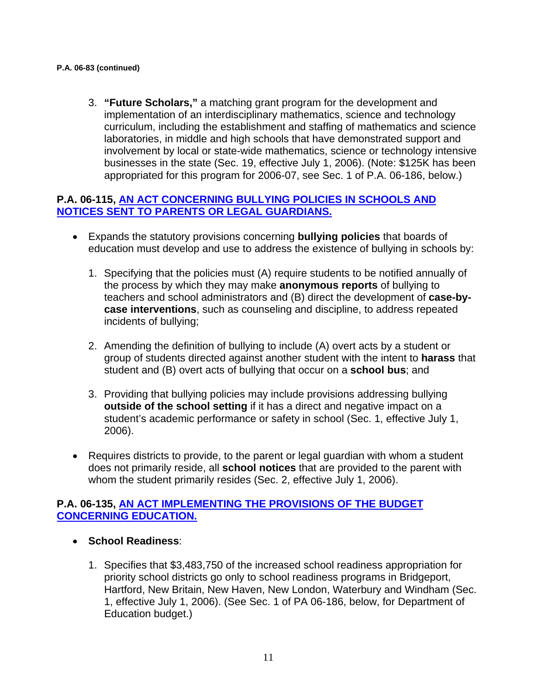#### **P.A. 06-83 (continued)**

3. **"Future Scholars,"** a matching grant program for the development and implementation of an interdisciplinary mathematics, science and technology curriculum, including the establishment and staffing of mathematics and science laboratories, in middle and high schools that have demonstrated support and involvement by local or state-wide mathematics, science or technology intensive businesses in the state (Sec. 19, effective July 1, 2006). (Note: \$125K has been appropriated for this program for 2006-07, see Sec. 1 of P.A. 06-186, below.)

#### **P.A. 06-115, [AN ACT CONCERNING BULLYING POLICIES IN SCHOOLS AND](http://www.cga.ct.gov/2006/ACT/PA/2006PA-00115-R00HB-05563-PA.htm)  [NOTICES SENT TO PARENTS OR LEGAL GUARDIANS.](http://www.cga.ct.gov/2006/ACT/PA/2006PA-00115-R00HB-05563-PA.htm)**

- Expands the statutory provisions concerning **bullying policies** that boards of education must develop and use to address the existence of bullying in schools by:
	- 1. Specifying that the policies must (A) require students to be notified annually of the process by which they may make **anonymous reports** of bullying to teachers and school administrators and (B) direct the development of **case-bycase interventions**, such as counseling and discipline, to address repeated incidents of bullying;
	- 2. Amending the definition of bullying to include (A) overt acts by a student or group of students directed against another student with the intent to **harass** that student and (B) overt acts of bullying that occur on a **school bus**; and
	- 3. Providing that bullying policies may include provisions addressing bullying **outside of the school setting** if it has a direct and negative impact on a student's academic performance or safety in school (Sec. 1, effective July 1, 2006).
- Requires districts to provide, to the parent or legal guardian with whom a student does not primarily reside, all **school notices** that are provided to the parent with whom the student primarily resides (Sec. 2, effective July 1, 2006).

#### **P.A. 06-135, [AN ACT IMPLEMENTING THE PROVISIONS OF THE BUDGET](http://www.cga.ct.gov/2006/ACT/PA/2006PA-00135-R00HB-05847-PA.htm)  [CONCERNING EDUCATION.](http://www.cga.ct.gov/2006/ACT/PA/2006PA-00135-R00HB-05847-PA.htm)**

- **School Readiness**:
	- 1. Specifies that \$3,483,750 of the increased school readiness appropriation for priority school districts go only to school readiness programs in Bridgeport, Hartford, New Britain, New Haven, New London, Waterbury and Windham (Sec. 1, effective July 1, 2006). (See Sec. 1 of PA 06-186, below, for Department of Education budget.)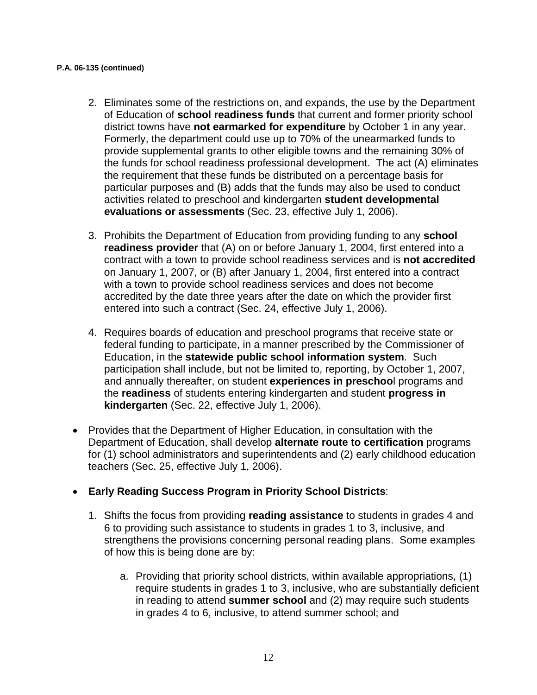#### **P.A. 06-135 (continued)**

- 2. Eliminates some of the restrictions on, and expands, the use by the Department of Education of **school readiness funds** that current and former priority school district towns have **not earmarked for expenditure** by October 1 in any year. Formerly, the department could use up to 70% of the unearmarked funds to provide supplemental grants to other eligible towns and the remaining 30% of the funds for school readiness professional development. The act (A) eliminates the requirement that these funds be distributed on a percentage basis for particular purposes and (B) adds that the funds may also be used to conduct activities related to preschool and kindergarten **student developmental evaluations or assessments** (Sec. 23, effective July 1, 2006).
- 3. Prohibits the Department of Education from providing funding to any **school readiness provider** that (A) on or before January 1, 2004, first entered into a contract with a town to provide school readiness services and is **not accredited** on January 1, 2007, or (B) after January 1, 2004, first entered into a contract with a town to provide school readiness services and does not become accredited by the date three years after the date on which the provider first entered into such a contract (Sec. 24, effective July 1, 2006).
- 4. Requires boards of education and preschool programs that receive state or federal funding to participate, in a manner prescribed by the Commissioner of Education, in the **statewide public school information system**. Such participation shall include, but not be limited to, reporting, by October 1, 2007, and annually thereafter, on student **experiences in preschoo**l programs and the **readiness** of students entering kindergarten and student **progress in kindergarten** (Sec. 22, effective July 1, 2006).
- Provides that the Department of Higher Education, in consultation with the Department of Education, shall develop **alternate route to certification** programs for (1) school administrators and superintendents and (2) early childhood education teachers (Sec. 25, effective July 1, 2006).

#### • **Early Reading Success Program in Priority School Districts**:

- 1. Shifts the focus from providing **reading assistance** to students in grades 4 and 6 to providing such assistance to students in grades 1 to 3, inclusive, and strengthens the provisions concerning personal reading plans. Some examples of how this is being done are by:
	- a. Providing that priority school districts, within available appropriations, (1) require students in grades 1 to 3, inclusive, who are substantially deficient in reading to attend **summer school** and (2) may require such students in grades 4 to 6, inclusive, to attend summer school; and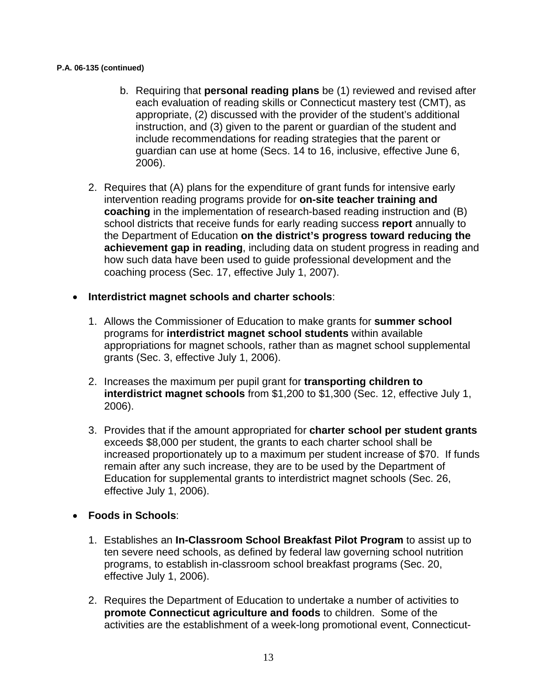#### **P.A. 06-135 (continued)**

- b. Requiring that **personal reading plans** be (1) reviewed and revised after each evaluation of reading skills or Connecticut mastery test (CMT), as appropriate, (2) discussed with the provider of the student's additional instruction, and (3) given to the parent or guardian of the student and include recommendations for reading strategies that the parent or guardian can use at home (Secs. 14 to 16, inclusive, effective June 6, 2006).
- 2. Requires that (A) plans for the expenditure of grant funds for intensive early intervention reading programs provide for **on-site teacher training and coaching** in the implementation of research-based reading instruction and (B) school districts that receive funds for early reading success **report** annually to the Department of Education **on the district's progress toward reducing the achievement gap in reading**, including data on student progress in reading and how such data have been used to guide professional development and the coaching process (Sec. 17, effective July 1, 2007).
- **Interdistrict magnet schools and charter schools**:
	- 1. Allows the Commissioner of Education to make grants for **summer school** programs for **interdistrict magnet school students** within available appropriations for magnet schools, rather than as magnet school supplemental grants (Sec. 3, effective July 1, 2006).
	- 2. Increases the maximum per pupil grant for **transporting children to interdistrict magnet schools** from \$1,200 to \$1,300 (Sec. 12, effective July 1, 2006).
	- 3. Provides that if the amount appropriated for **charter school per student grants** exceeds \$8,000 per student, the grants to each charter school shall be increased proportionately up to a maximum per student increase of \$70. If funds remain after any such increase, they are to be used by the Department of Education for supplemental grants to interdistrict magnet schools (Sec. 26, effective July 1, 2006).

#### • **Foods in Schools**:

- 1. Establishes an **In-Classroom School Breakfast Pilot Program** to assist up to ten severe need schools, as defined by federal law governing school nutrition programs, to establish in-classroom school breakfast programs (Sec. 20, effective July 1, 2006).
- 2. Requires the Department of Education to undertake a number of activities to **promote Connecticut agriculture and foods** to children. Some of the activities are the establishment of a week-long promotional event, Connecticut-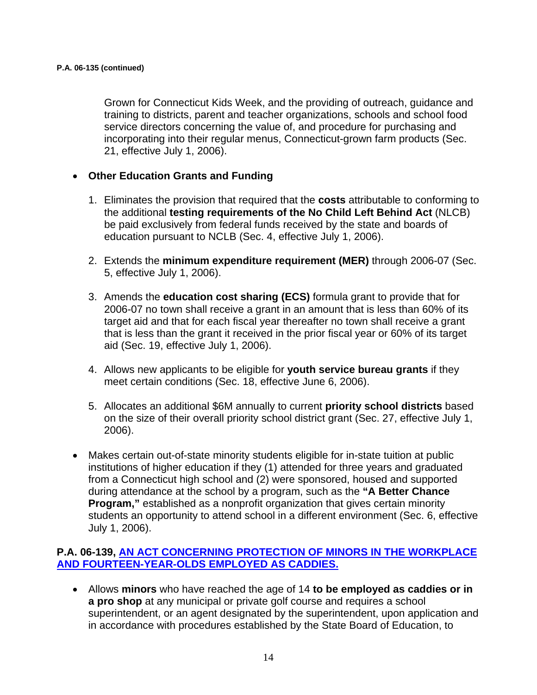Grown for Connecticut Kids Week, and the providing of outreach, guidance and training to districts, parent and teacher organizations, schools and school food service directors concerning the value of, and procedure for purchasing and incorporating into their regular menus, Connecticut-grown farm products (Sec. 21, effective July 1, 2006).

#### • **Other Education Grants and Funding**

- 1. Eliminates the provision that required that the **costs** attributable to conforming to the additional **testing requirements of the No Child Left Behind Act** (NLCB) be paid exclusively from federal funds received by the state and boards of education pursuant to NCLB (Sec. 4, effective July 1, 2006).
- 2. Extends the **minimum expenditure requirement (MER)** through 2006-07 (Sec. 5, effective July 1, 2006).
- 3. Amends the **education cost sharing (ECS)** formula grant to provide that for 2006-07 no town shall receive a grant in an amount that is less than 60% of its target aid and that for each fiscal year thereafter no town shall receive a grant that is less than the grant it received in the prior fiscal year or 60% of its target aid (Sec. 19, effective July 1, 2006).
- 4. Allows new applicants to be eligible for **youth service bureau grants** if they meet certain conditions (Sec. 18, effective June 6, 2006).
- 5. Allocates an additional \$6M annually to current **priority school districts** based on the size of their overall priority school district grant (Sec. 27, effective July 1, 2006).
- Makes certain out-of-state minority students eligible for in-state tuition at public institutions of higher education if they (1) attended for three years and graduated from a Connecticut high school and (2) were sponsored, housed and supported during attendance at the school by a program, such as the **"A Better Chance Program,"** established as a nonprofit organization that gives certain minority students an opportunity to attend school in a different environment (Sec. 6, effective July 1, 2006).

#### **P.A. 06-139, [AN ACT CONCERNING PROTECTION OF MINORS IN THE WORKPLACE](http://www.cga.ct.gov/2006/ACT/PA/2006PA-00139-R00SB-00058-PA.htm)  [AND FOURTEEN-YEAR-OLDS EMPLOYED AS CADDIES.](http://www.cga.ct.gov/2006/ACT/PA/2006PA-00139-R00SB-00058-PA.htm)**

• Allows **minors** who have reached the age of 14 **to be employed as caddies or in a pro shop** at any municipal or private golf course and requires a school superintendent, or an agent designated by the superintendent, upon application and in accordance with procedures established by the State Board of Education, to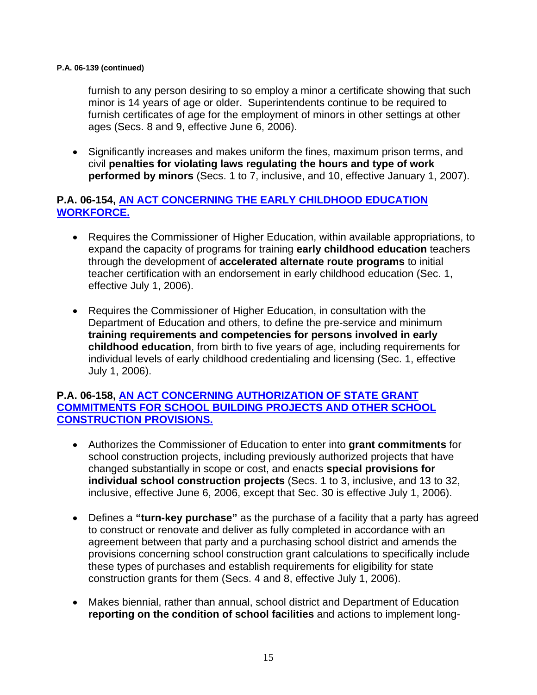#### **P.A. 06-139 (continued)**

furnish to any person desiring to so employ a minor a certificate showing that such minor is 14 years of age or older. Superintendents continue to be required to furnish certificates of age for the employment of minors in other settings at other ages (Secs. 8 and 9, effective June 6, 2006).

• Significantly increases and makes uniform the fines, maximum prison terms, and civil **penalties for violating laws regulating the hours and type of work performed by minors** (Secs. 1 to 7, inclusive, and 10, effective January 1, 2007).

#### **P.A. 06-154, [AN ACT CONCERNING THE EARLY CHILDHOOD EDUCATION](http://www.cga.ct.gov/2006/ACT/PA/2006PA-00154-R00SB-00455-PA.htm)  [WORKFORCE.](http://www.cga.ct.gov/2006/ACT/PA/2006PA-00154-R00SB-00455-PA.htm)**

- Requires the Commissioner of Higher Education, within available appropriations, to expand the capacity of programs for training **early childhood education** teachers through the development of **accelerated alternate route programs** to initial teacher certification with an endorsement in early childhood education (Sec. 1, effective July 1, 2006).
- Requires the Commissioner of Higher Education, in consultation with the Department of Education and others, to define the pre-service and minimum **training requirements and competencies for persons involved in early childhood education**, from birth to five years of age, including requirements for individual levels of early childhood credentialing and licensing (Sec. 1, effective July 1, 2006).

#### **P.A. 06-158, [AN ACT CONCERNING AUTHORIZATION OF STATE GRANT](http://www.cga.ct.gov/2006/ACT/PA/2006PA-00158-R00SB-00636-PA.htm)  [COMMITMENTS FOR SCHOOL BUILDING PROJECTS AND OTHER SCHOOL](http://www.cga.ct.gov/2006/ACT/PA/2006PA-00158-R00SB-00636-PA.htm)  [CONSTRUCTION PROVISIONS.](http://www.cga.ct.gov/2006/ACT/PA/2006PA-00158-R00SB-00636-PA.htm)**

- Authorizes the Commissioner of Education to enter into **grant commitments** for school construction projects, including previously authorized projects that have changed substantially in scope or cost, and enacts **special provisions for individual school construction projects** (Secs. 1 to 3, inclusive, and 13 to 32, inclusive, effective June 6, 2006, except that Sec. 30 is effective July 1, 2006).
- Defines a **"turn-key purchase"** as the purchase of a facility that a party has agreed to construct or renovate and deliver as fully completed in accordance with an agreement between that party and a purchasing school district and amends the provisions concerning school construction grant calculations to specifically include these types of purchases and establish requirements for eligibility for state construction grants for them (Secs. 4 and 8, effective July 1, 2006).
- Makes biennial, rather than annual, school district and Department of Education **reporting on the condition of school facilities** and actions to implement long-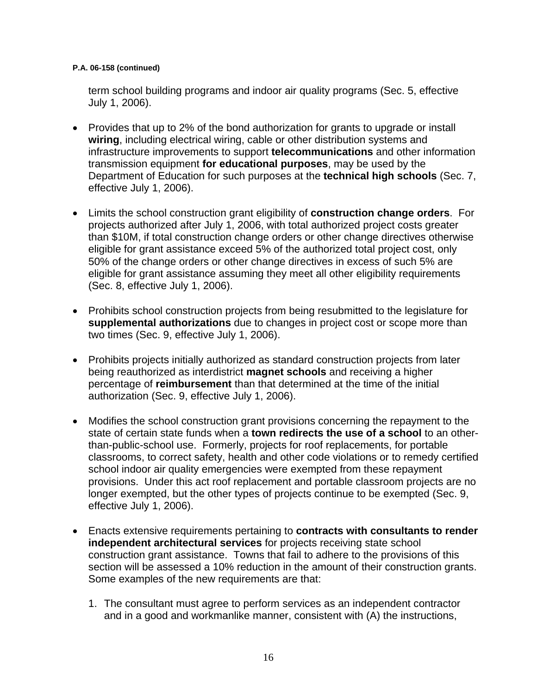#### **P.A. 06-158 (continued)**

term school building programs and indoor air quality programs (Sec. 5, effective July 1, 2006).

- Provides that up to 2% of the bond authorization for grants to upgrade or install **wiring**, including electrical wiring, cable or other distribution systems and infrastructure improvements to support **telecommunications** and other information transmission equipment **for educational purposes**, may be used by the Department of Education for such purposes at the **technical high schools** (Sec. 7, effective July 1, 2006).
- Limits the school construction grant eligibility of **construction change orders**. For projects authorized after July 1, 2006, with total authorized project costs greater than \$10M, if total construction change orders or other change directives otherwise eligible for grant assistance exceed 5% of the authorized total project cost, only 50% of the change orders or other change directives in excess of such 5% are eligible for grant assistance assuming they meet all other eligibility requirements (Sec. 8, effective July 1, 2006).
- Prohibits school construction projects from being resubmitted to the legislature for **supplemental authorizations** due to changes in project cost or scope more than two times (Sec. 9, effective July 1, 2006).
- Prohibits projects initially authorized as standard construction projects from later being reauthorized as interdistrict **magnet schools** and receiving a higher percentage of **reimbursement** than that determined at the time of the initial authorization (Sec. 9, effective July 1, 2006).
- Modifies the school construction grant provisions concerning the repayment to the state of certain state funds when a **town redirects the use of a school** to an otherthan-public-school use. Formerly, projects for roof replacements, for portable classrooms, to correct safety, health and other code violations or to remedy certified school indoor air quality emergencies were exempted from these repayment provisions. Under this act roof replacement and portable classroom projects are no longer exempted, but the other types of projects continue to be exempted (Sec. 9, effective July 1, 2006).
- Enacts extensive requirements pertaining to **contracts with consultants to render independent architectural services** for projects receiving state school construction grant assistance. Towns that fail to adhere to the provisions of this section will be assessed a 10% reduction in the amount of their construction grants. Some examples of the new requirements are that:
	- 1. The consultant must agree to perform services as an independent contractor and in a good and workmanlike manner, consistent with (A) the instructions,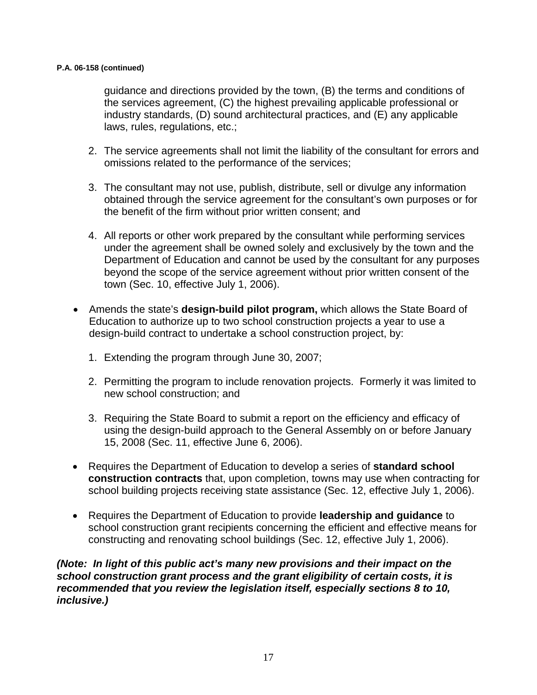#### **P.A. 06-158 (continued)**

guidance and directions provided by the town, (B) the terms and conditions of the services agreement, (C) the highest prevailing applicable professional or industry standards, (D) sound architectural practices, and (E) any applicable laws, rules, regulations, etc.;

- 2. The service agreements shall not limit the liability of the consultant for errors and omissions related to the performance of the services;
- 3. The consultant may not use, publish, distribute, sell or divulge any information obtained through the service agreement for the consultant's own purposes or for the benefit of the firm without prior written consent; and
- 4. All reports or other work prepared by the consultant while performing services under the agreement shall be owned solely and exclusively by the town and the Department of Education and cannot be used by the consultant for any purposes beyond the scope of the service agreement without prior written consent of the town (Sec. 10, effective July 1, 2006).
- Amends the state's **design-build pilot program,** which allows the State Board of Education to authorize up to two school construction projects a year to use a design-build contract to undertake a school construction project, by:
	- 1. Extending the program through June 30, 2007;
	- 2. Permitting the program to include renovation projects. Formerly it was limited to new school construction; and
	- 3. Requiring the State Board to submit a report on the efficiency and efficacy of using the design-build approach to the General Assembly on or before January 15, 2008 (Sec. 11, effective June 6, 2006).
- Requires the Department of Education to develop a series of **standard school construction contracts** that, upon completion, towns may use when contracting for school building projects receiving state assistance (Sec. 12, effective July 1, 2006).
- Requires the Department of Education to provide **leadership and guidance** to school construction grant recipients concerning the efficient and effective means for constructing and renovating school buildings (Sec. 12, effective July 1, 2006).

*(Note: In light of this public act's many new provisions and their impact on the school construction grant process and the grant eligibility of certain costs, it is recommended that you review the legislation itself, especially sections 8 to 10, inclusive.)*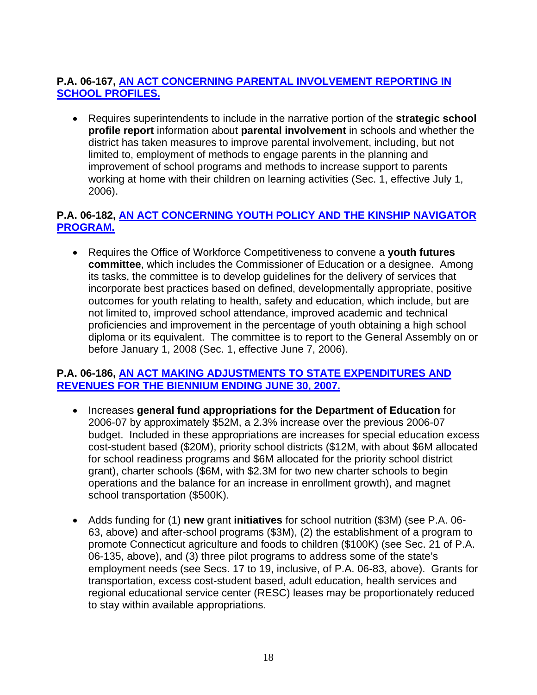## **P.A. 06-167, [AN ACT CONCERNING PARENTAL INVOLVEMENT REPORTING IN](http://www.cga.ct.gov/2006/ACT/PA/2006PA-00167-R00HB-05513-PA.htm)  [SCHOOL PROFILES.](http://www.cga.ct.gov/2006/ACT/PA/2006PA-00167-R00HB-05513-PA.htm)**

• Requires superintendents to include in the narrative portion of the **strategic school profile report** information about **parental involvement** in schools and whether the district has taken measures to improve parental involvement, including, but not limited to, employment of methods to engage parents in the planning and improvement of school programs and methods to increase support to parents working at home with their children on learning activities (Sec. 1, effective July 1, 2006).

#### **P.A. 06-182, [AN ACT CONCERNING YOUTH POLICY AND THE KINSHIP NAVIGATOR](http://www.cga.ct.gov/2006/ACT/PA/2006PA-00182-R00HB-05532-PA.htm)  [PROGRAM.](http://www.cga.ct.gov/2006/ACT/PA/2006PA-00182-R00HB-05532-PA.htm)**

• Requires the Office of Workforce Competitiveness to convene a **youth futures committee**, which includes the Commissioner of Education or a designee. Among its tasks, the committee is to develop guidelines for the delivery of services that incorporate best practices based on defined, developmentally appropriate, positive outcomes for youth relating to health, safety and education, which include, but are not limited to, improved school attendance, improved academic and technical proficiencies and improvement in the percentage of youth obtaining a high school diploma or its equivalent. The committee is to report to the General Assembly on or before January 1, 2008 (Sec. 1, effective June 7, 2006).

#### **P.A. 06-186, [AN ACT MAKING ADJUSTMENTS TO STATE EXPENDITURES AND](http://www.cga.ct.gov/2006/ACT/PA/2006PA-00186-R00HB-05845-PA.htm)  [REVENUES FOR THE BIENNIUM ENDING JUNE 30, 2007.](http://www.cga.ct.gov/2006/ACT/PA/2006PA-00186-R00HB-05845-PA.htm)**

- Increases **general fund appropriations for the Department of Education** for 2006-07 by approximately \$52M, a 2.3% increase over the previous 2006-07 budget. Included in these appropriations are increases for special education excess cost-student based (\$20M), priority school districts (\$12M, with about \$6M allocated for school readiness programs and \$6M allocated for the priority school district grant), charter schools (\$6M, with \$2.3M for two new charter schools to begin operations and the balance for an increase in enrollment growth), and magnet school transportation (\$500K).
- Adds funding for (1) **new** grant **initiatives** for school nutrition (\$3M) (see P.A. 06- 63, above) and after-school programs (\$3M), (2) the establishment of a program to promote Connecticut agriculture and foods to children (\$100K) (see Sec. 21 of P.A. 06-135, above), and (3) three pilot programs to address some of the state's employment needs (see Secs. 17 to 19, inclusive, of P.A. 06-83, above). Grants for transportation, excess cost-student based, adult education, health services and regional educational service center (RESC) leases may be proportionately reduced to stay within available appropriations.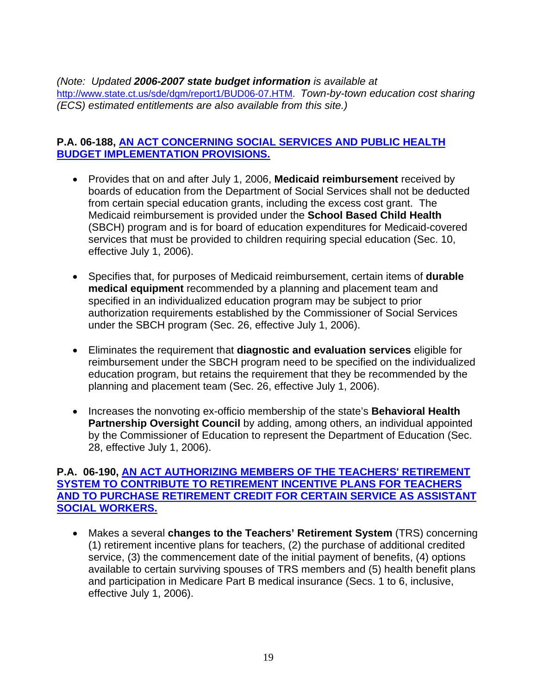*(Note: Updated 2006-2007 state budget information is available at*  http://www.state.ct.us/sde/dgm/report1/BUD06-07.HTM. *Town-by-town education cost sharing (ECS) estimated entitlements are also available from this site.)* 

#### **P.A. 06-188, [AN ACT CONCERNING SOCIAL SERVICES AND PUBLIC HEALTH](http://www.cga.ct.gov/2006/ACT/PA/2006PA-00188-R00SB-00703-PA.htm)  [BUDGET IMPLEMENTATION PROVISIONS.](http://www.cga.ct.gov/2006/ACT/PA/2006PA-00188-R00SB-00703-PA.htm)**

- Provides that on and after July 1, 2006, **Medicaid reimbursement** received by boards of education from the Department of Social Services shall not be deducted from certain special education grants, including the excess cost grant. The Medicaid reimbursement is provided under the **School Based Child Health** (SBCH) program and is for board of education expenditures for Medicaid-covered services that must be provided to children requiring special education (Sec. 10, effective July 1, 2006).
- Specifies that, for purposes of Medicaid reimbursement, certain items of **durable medical equipment** recommended by a planning and placement team and specified in an individualized education program may be subject to prior authorization requirements established by the Commissioner of Social Services under the SBCH program (Sec. 26, effective July 1, 2006).
- Eliminates the requirement that **diagnostic and evaluation services** eligible for reimbursement under the SBCH program need to be specified on the individualized education program, but retains the requirement that they be recommended by the planning and placement team (Sec. 26, effective July 1, 2006).
- Increases the nonvoting ex-officio membership of the state's **Behavioral Health Partnership Oversight Council** by adding, among others, an individual appointed by the Commissioner of Education to represent the Department of Education (Sec. 28, effective July 1, 2006).

#### **P.A. 06-190, [AN ACT AUTHORIZING MEMBERS OF THE TEACHERS' RETIREMENT](http://www.cga.ct.gov/2006/ACT/PA/2006PA-00190-R00HB-05723-PA.htm)  [SYSTEM TO CONTRIBUTE TO RETIREMENT INCENTIVE PLANS FOR TEACHERS](http://www.cga.ct.gov/2006/ACT/PA/2006PA-00190-R00HB-05723-PA.htm)  [AND TO PURCHASE RETIREMENT CREDIT FOR CERTAIN SERVICE AS ASSISTANT](http://www.cga.ct.gov/2006/ACT/PA/2006PA-00190-R00HB-05723-PA.htm)  [SOCIAL WORKERS.](http://www.cga.ct.gov/2006/ACT/PA/2006PA-00190-R00HB-05723-PA.htm)**

• Makes a several **changes to the Teachers' Retirement System** (TRS) concerning (1) retirement incentive plans for teachers, (2) the purchase of additional credited service, (3) the commencement date of the initial payment of benefits, (4) options available to certain surviving spouses of TRS members and (5) health benefit plans and participation in Medicare Part B medical insurance (Secs. 1 to 6, inclusive, effective July 1, 2006).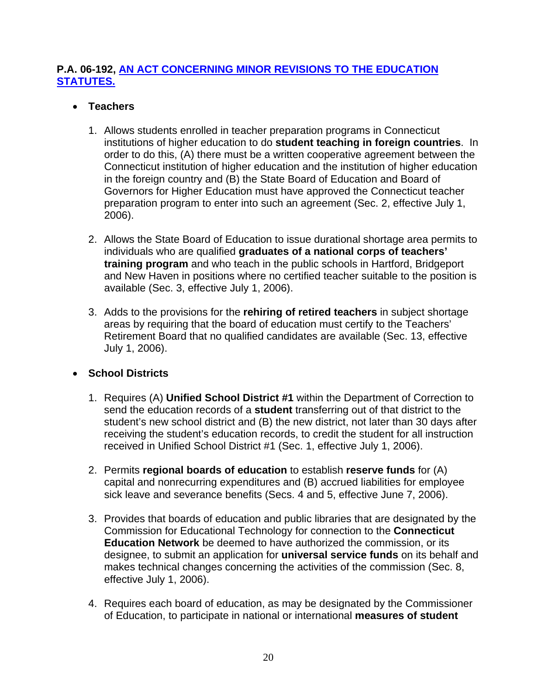#### **P.A. 06-192, [AN ACT CONCERNING MINOR REVISIONS TO THE EDUCATION](http://www.cga.ct.gov/2006/ACT/PA/2006PA-00192-R00HB-05758-PA.htm)  [STATUTES.](http://www.cga.ct.gov/2006/ACT/PA/2006PA-00192-R00HB-05758-PA.htm)**

#### • **Teachers**

- 1. Allows students enrolled in teacher preparation programs in Connecticut institutions of higher education to do **student teaching in foreign countries**. In order to do this, (A) there must be a written cooperative agreement between the Connecticut institution of higher education and the institution of higher education in the foreign country and (B) the State Board of Education and Board of Governors for Higher Education must have approved the Connecticut teacher preparation program to enter into such an agreement (Sec. 2, effective July 1, 2006).
- 2. Allows the State Board of Education to issue durational shortage area permits to individuals who are qualified **graduates of a national corps of teachers' training program** and who teach in the public schools in Hartford, Bridgeport and New Haven in positions where no certified teacher suitable to the position is available (Sec. 3, effective July 1, 2006).
- 3. Adds to the provisions for the **rehiring of retired teachers** in subject shortage areas by requiring that the board of education must certify to the Teachers' Retirement Board that no qualified candidates are available (Sec. 13, effective July 1, 2006).

## • **School Districts**

- 1. Requires (A) **Unified School District #1** within the Department of Correction to send the education records of a **student** transferring out of that district to the student's new school district and (B) the new district, not later than 30 days after receiving the student's education records, to credit the student for all instruction received in Unified School District #1 (Sec. 1, effective July 1, 2006).
- 2. Permits **regional boards of education** to establish **reserve funds** for (A) capital and nonrecurring expenditures and (B) accrued liabilities for employee sick leave and severance benefits (Secs. 4 and 5, effective June 7, 2006).
- 3. Provides that boards of education and public libraries that are designated by the Commission for Educational Technology for connection to the **Connecticut Education Network** be deemed to have authorized the commission, or its designee, to submit an application for **universal service funds** on its behalf and makes technical changes concerning the activities of the commission (Sec. 8, effective July 1, 2006).
- 4. Requires each board of education, as may be designated by the Commissioner of Education, to participate in national or international **measures of student**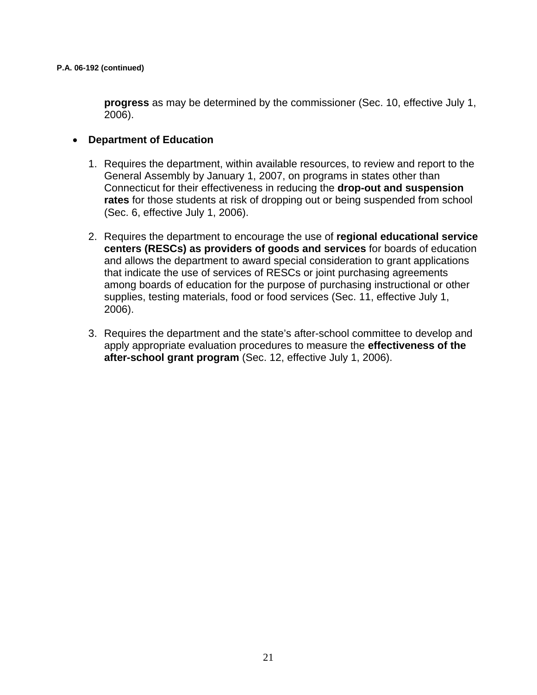**progress** as may be determined by the commissioner (Sec. 10, effective July 1, 2006).

#### • **Department of Education**

- 1. Requires the department, within available resources, to review and report to the General Assembly by January 1, 2007, on programs in states other than Connecticut for their effectiveness in reducing the **drop-out and suspension rates** for those students at risk of dropping out or being suspended from school (Sec. 6, effective July 1, 2006).
- 2. Requires the department to encourage the use of **regional educational service centers (RESCs) as providers of goods and services** for boards of education and allows the department to award special consideration to grant applications that indicate the use of services of RESCs or joint purchasing agreements among boards of education for the purpose of purchasing instructional or other supplies, testing materials, food or food services (Sec. 11, effective July 1, 2006).
- 3. Requires the department and the state's after-school committee to develop and apply appropriate evaluation procedures to measure the **effectiveness of the after-school grant program** (Sec. 12, effective July 1, 2006).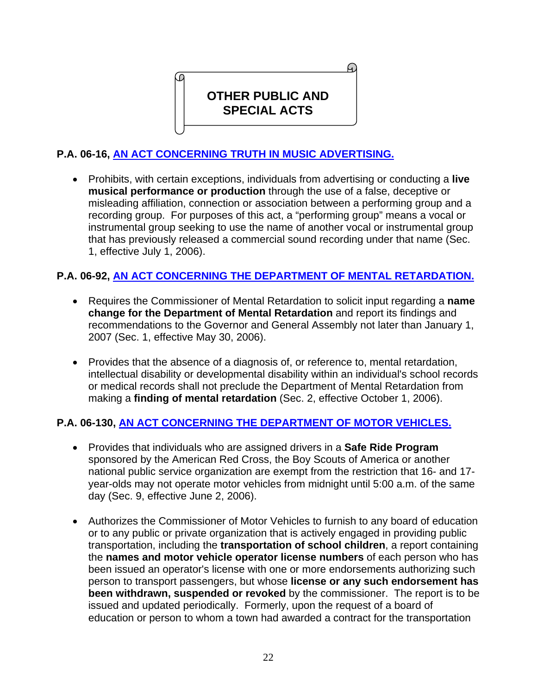**OTHER PUBLIC AND SPECIAL ACTS** 

## **P.A. 06-16, [AN ACT CONCERNING TRUTH IN MUSIC ADVERTISING.](http://www.cga.ct.gov/2006/ACT/PA/2006PA-00016-R00HB-05801-PA.htm)**

• Prohibits, with certain exceptions, individuals from advertising or conducting a **live musical performance or production** through the use of a false, deceptive or misleading affiliation, connection or association between a performing group and a recording group. For purposes of this act, a "performing group" means a vocal or instrumental group seeking to use the name of another vocal or instrumental group that has previously released a commercial sound recording under that name (Sec. 1, effective July 1, 2006).

#### **P.A. 06-92, [AN ACT CONCERNING THE DEPARTMENT OF MENTAL RETARDATION.](http://www.cga.ct.gov/2006/ACT/PA/2006PA-00092-R00HB-05478-PA.htm)**

- Requires the Commissioner of Mental Retardation to solicit input regarding a **name change for the Department of Mental Retardation** and report its findings and recommendations to the Governor and General Assembly not later than January 1, 2007 (Sec. 1, effective May 30, 2006).
- Provides that the absence of a diagnosis of, or reference to, mental retardation, intellectual disability or developmental disability within an individual's school records or medical records shall not preclude the Department of Mental Retardation from making a **finding of mental retardation** (Sec. 2, effective October 1, 2006).

#### **P.A. 06-130, [AN ACT CONCERNING THE DEPARTMENT OF MOTOR VEHICLES.](http://www.cga.ct.gov/2006/ACT/PA/2006PA-00130-R00SB-00328-PA.htm)**

- Provides that individuals who are assigned drivers in a **Safe Ride Program** sponsored by the American Red Cross, the Boy Scouts of America or another national public service organization are exempt from the restriction that 16- and 17 year-olds may not operate motor vehicles from midnight until 5:00 a.m. of the same day (Sec. 9, effective June 2, 2006).
- Authorizes the Commissioner of Motor Vehicles to furnish to any board of education or to any public or private organization that is actively engaged in providing public transportation, including the **transportation of school children**, a report containing the **names and motor vehicle operator license numbers** of each person who has been issued an operator's license with one or more endorsements authorizing such person to transport passengers, but whose **license or any such endorsement has been withdrawn, suspended or revoked** by the commissioner. The report is to be issued and updated periodically. Formerly, upon the request of a board of education or person to whom a town had awarded a contract for the transportation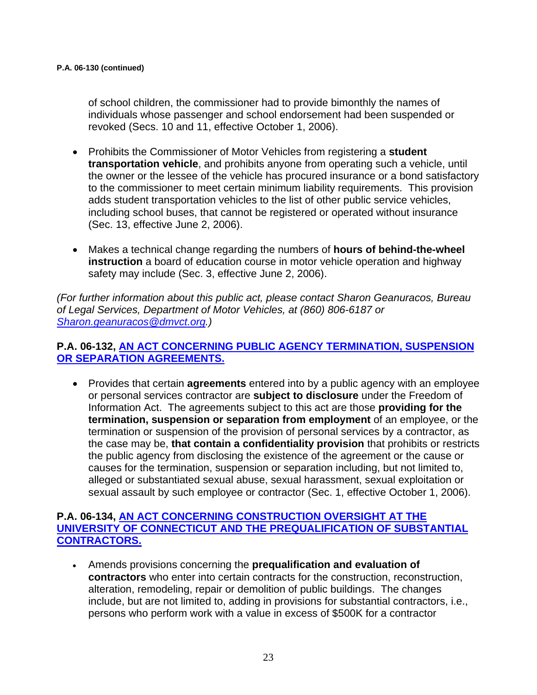of school children, the commissioner had to provide bimonthly the names of individuals whose passenger and school endorsement had been suspended or revoked (Secs. 10 and 11, effective October 1, 2006).

- Prohibits the Commissioner of Motor Vehicles from registering a **student transportation vehicle**, and prohibits anyone from operating such a vehicle, until the owner or the lessee of the vehicle has procured insurance or a bond satisfactory to the commissioner to meet certain minimum liability requirements. This provision adds student transportation vehicles to the list of other public service vehicles, including school buses, that cannot be registered or operated without insurance (Sec. 13, effective June 2, 2006).
- Makes a technical change regarding the numbers of **hours of behind-the-wheel instruction** a board of education course in motor vehicle operation and highway safety may include (Sec. 3, effective June 2, 2006).

*(For further information about this public act, please contact Sharon Geanuracos, Bureau of Legal Services, Department of Motor Vehicles, at (860) 806-6187 or [Sharon.geanuracos@dmvct.org](mailto:Sharon.geanuracos@dmvct.org).)* 

#### **P.A. 06-132, [AN ACT CONCERNING PUBLIC AGENCY TERMINATION, SUSPENSION](http://www.cga.ct.gov/2006/ACT/PA/2006PA-00132-R00HB-05652-PA.htm)  [OR SEPARATION AGREEMENTS.](http://www.cga.ct.gov/2006/ACT/PA/2006PA-00132-R00HB-05652-PA.htm)**

• Provides that certain **agreements** entered into by a public agency with an employee or personal services contractor are **subject to disclosure** under the Freedom of Information Act. The agreements subject to this act are those **providing for the termination, suspension or separation from employment** of an employee, or the termination or suspension of the provision of personal services by a contractor, as the case may be, **that contain a confidentiality provision** that prohibits or restricts the public agency from disclosing the existence of the agreement or the cause or causes for the termination, suspension or separation including, but not limited to, alleged or substantiated sexual abuse, sexual harassment, sexual exploitation or sexual assault by such employee or contractor (Sec. 1, effective October 1, 2006).

#### **P.A. 06-134, [AN ACT CONCERNING CONSTRUCTION OVERSIGHT AT THE](http://www.cga.ct.gov/2006/ACT/PA/2006PA-00134-R00HB-05695-PA.htm)  [UNIVERSITY OF CONNECTICUT AND THE PREQUALIFICATION OF SUBSTANTIAL](http://www.cga.ct.gov/2006/ACT/PA/2006PA-00134-R00HB-05695-PA.htm)  [CONTRACTORS.](http://www.cga.ct.gov/2006/ACT/PA/2006PA-00134-R00HB-05695-PA.htm)**

• Amends provisions concerning the **prequalification and evaluation of contractors** who enter into certain contracts for the construction, reconstruction, alteration, remodeling, repair or demolition of public buildings. The changes include, but are not limited to, adding in provisions for substantial contractors, i.e., persons who perform work with a value in excess of \$500K for a contractor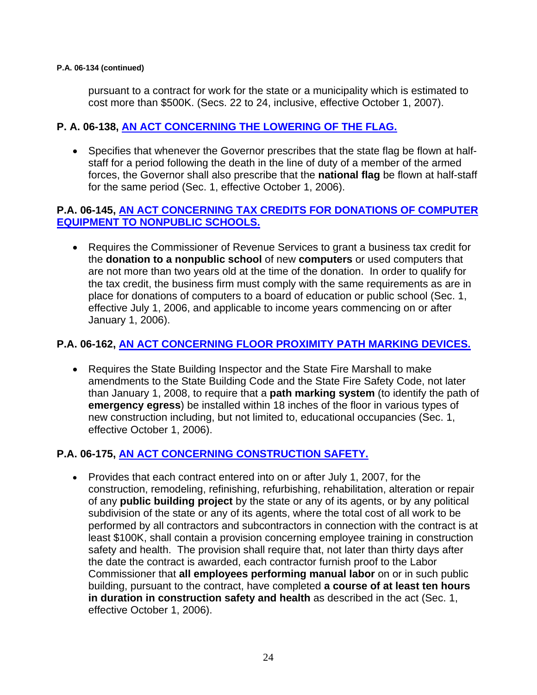#### **P.A. 06-134 (continued)**

pursuant to a contract for work for the state or a municipality which is estimated to cost more than \$500K. (Secs. 22 to 24, inclusive, effective October 1, 2007).

#### **P. A. 06-138, [AN ACT CONCERNING THE LOWERING OF THE FLAG.](http://www.cga.ct.gov/2006/ACT/PA/2006PA-00138-R00SB-00170-PA.htm)**

• Specifies that whenever the Governor prescribes that the state flag be flown at halfstaff for a period following the death in the line of duty of a member of the armed forces, the Governor shall also prescribe that the **national flag** be flown at half-staff for the same period (Sec. 1, effective October 1, 2006).

#### **P.A. 06-145, [AN ACT CONCERNING TAX CREDITS FOR DONATIONS OF COMPUTER](http://www.cga.ct.gov/2006/ACT/PA/2006PA-00145-R00SB-00378-PA.htm)  [EQUIPMENT TO NONPUBLIC SCHOOLS.](http://www.cga.ct.gov/2006/ACT/PA/2006PA-00145-R00SB-00378-PA.htm)**

• Requires the Commissioner of Revenue Services to grant a business tax credit for the **donation to a nonpublic school** of new **computers** or used computers that are not more than two years old at the time of the donation. In order to qualify for the tax credit, the business firm must comply with the same requirements as are in place for donations of computers to a board of education or public school (Sec. 1, effective July 1, 2006, and applicable to income years commencing on or after January 1, 2006).

#### **P.A. 06-162, [AN ACT CONCERNING FLOOR PROXIMITY PATH MARKING DEVICES.](http://www.cga.ct.gov/2006/ACT/PA/2006PA-00162-R00SB-00666-PA.htm)**

• Requires the State Building Inspector and the State Fire Marshall to make amendments to the State Building Code and the State Fire Safety Code, not later than January 1, 2008, to require that a **path marking system** (to identify the path of **emergency egress**) be installed within 18 inches of the floor in various types of new construction including, but not limited to, educational occupancies (Sec. 1, effective October 1, 2006).

#### **P.A. 06-175, [AN ACT CONCERNING CONSTRUCTION SAFETY.](http://www.cga.ct.gov/2006/ACT/PA/2006PA-00175-R00HB-05034-PA.htm)**

• Provides that each contract entered into on or after July 1, 2007, for the construction, remodeling, refinishing, refurbishing, rehabilitation, alteration or repair of any **public building project** by the state or any of its agents, or by any political subdivision of the state or any of its agents, where the total cost of all work to be performed by all contractors and subcontractors in connection with the contract is at least \$100K, shall contain a provision concerning employee training in construction safety and health. The provision shall require that, not later than thirty days after the date the contract is awarded, each contractor furnish proof to the Labor Commissioner that **all employees performing manual labor** on or in such public building, pursuant to the contract, have completed **a course of at least ten hours in duration in construction safety and health** as described in the act (Sec. 1, effective October 1, 2006).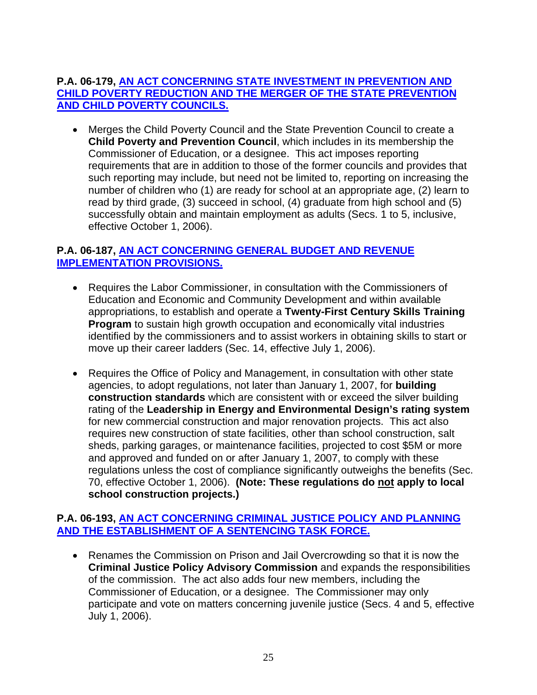#### **P.A. 06-179, [AN ACT CONCERNING STATE INVESTMENT IN PREVENTION AND](http://www.cga.ct.gov/2006/ACT/PA/2006PA-00179-R00HB-05254-PA.htm)  [CHILD POVERTY REDUCTION AND THE MERGER OF THE STATE PREVENTION](http://www.cga.ct.gov/2006/ACT/PA/2006PA-00179-R00HB-05254-PA.htm)  [AND CHILD POVERTY COUNCILS.](http://www.cga.ct.gov/2006/ACT/PA/2006PA-00179-R00HB-05254-PA.htm)**

• Merges the Child Poverty Council and the State Prevention Council to create a **Child Poverty and Prevention Council**, which includes in its membership the Commissioner of Education, or a designee. This act imposes reporting requirements that are in addition to those of the former councils and provides that such reporting may include, but need not be limited to, reporting on increasing the number of children who (1) are ready for school at an appropriate age, (2) learn to read by third grade, (3) succeed in school, (4) graduate from high school and (5) successfully obtain and maintain employment as adults (Secs. 1 to 5, inclusive, effective October 1, 2006).

#### **P.A. 06-187, [AN ACT CONCERNING GENERAL BUDGET AND REVENUE](http://www.cga.ct.gov/2006/ACT/PA/2006PA-00187-R00HB-05846-PA.htm)  [IMPLEMENTATION PROVISIONS.](http://www.cga.ct.gov/2006/ACT/PA/2006PA-00187-R00HB-05846-PA.htm)**

- Requires the Labor Commissioner, in consultation with the Commissioners of Education and Economic and Community Development and within available appropriations, to establish and operate a **Twenty-First Century Skills Training Program** to sustain high growth occupation and economically vital industries identified by the commissioners and to assist workers in obtaining skills to start or move up their career ladders (Sec. 14, effective July 1, 2006).
- Requires the Office of Policy and Management, in consultation with other state agencies, to adopt regulations, not later than January 1, 2007, for **building construction standards** which are consistent with or exceed the silver building rating of the **Leadership in Energy and Environmental Design's rating system** for new commercial construction and major renovation projects. This act also requires new construction of state facilities, other than school construction, salt sheds, parking garages, or maintenance facilities, projected to cost \$5M or more and approved and funded on or after January 1, 2007, to comply with these regulations unless the cost of compliance significantly outweighs the benefits (Sec. 70, effective October 1, 2006). **(Note: These regulations do not apply to local school construction projects.)**

#### **P.A. 06-193, [AN ACT CONCERNING CRIMINAL JUSTICE POLICY AND PLANNING](http://www.cga.ct.gov/2006/ACT/PA/2006PA-00193-R00HB-05781-PA.htm)  [AND THE ESTABLISHMENT OF A SENTENCING TASK FORCE.](http://www.cga.ct.gov/2006/ACT/PA/2006PA-00193-R00HB-05781-PA.htm)**

• Renames the Commission on Prison and Jail Overcrowding so that it is now the **Criminal Justice Policy Advisory Commission** and expands the responsibilities of the commission. The act also adds four new members, including the Commissioner of Education, or a designee. The Commissioner may only participate and vote on matters concerning juvenile justice (Secs. 4 and 5, effective July 1, 2006).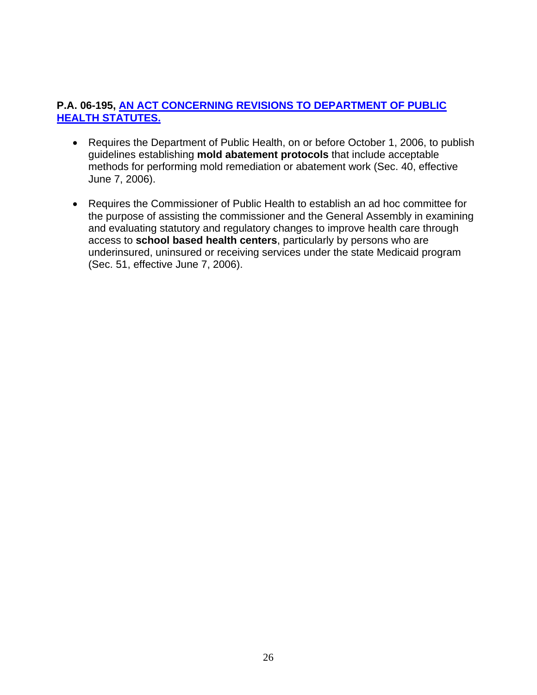#### **P.A. 06-195, [AN ACT CONCERNING REVISIONS TO DEPARTMENT OF PUBLIC](http://www.cga.ct.gov/2006/ACT/PA/2006PA-00195-R00SB-00317-PA.htm)  [HEALTH STATUTES.](http://www.cga.ct.gov/2006/ACT/PA/2006PA-00195-R00SB-00317-PA.htm)**

- Requires the Department of Public Health, on or before October 1, 2006, to publish guidelines establishing **mold abatement protocols** that include acceptable methods for performing mold remediation or abatement work (Sec. 40, effective June 7, 2006).
- Requires the Commissioner of Public Health to establish an ad hoc committee for the purpose of assisting the commissioner and the General Assembly in examining and evaluating statutory and regulatory changes to improve health care through access to **school based health centers**, particularly by persons who are underinsured, uninsured or receiving services under the state Medicaid program (Sec. 51, effective June 7, 2006).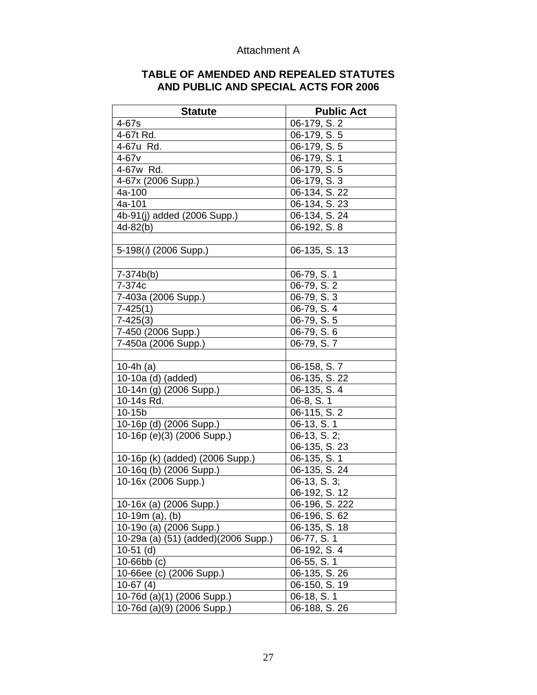#### Attachment A

| <b>TABLE OF AMENDED AND REPEALED STATUTES</b> |
|-----------------------------------------------|
| AND PUBLIC AND SPECIAL ACTS FOR 2006          |

| <b>Statute</b>                            | <b>Public Act</b>        |
|-------------------------------------------|--------------------------|
| 4-67s                                     | 06-179, S. 2             |
| 4-67t Rd.                                 | 06-179, S. 5             |
| 4-67u Rd.                                 | 06-179, S. 5             |
| $4-67v$                                   | 06-179, S. 1             |
| 4-67w Rd.                                 | 06-179, S. 5             |
| 4-67x (2006 Supp.)                        | 06-179, S. 3             |
| 4a-100                                    | 06-134, S. 22            |
| 4a-101                                    | $06 - 134, S. 23$        |
| $\overline{4b}$ -91(j) added (2006 Supp.) | 06-134, S. 24            |
| $4d-82(b)$                                | 06-192, S. 8             |
|                                           |                          |
| 5-198( $\emptyset$ (2006 Supp.)           | 06-135, S. 13            |
|                                           |                          |
| $7 - 374b(b)$                             | 06-79, S. 1              |
| 7-374c                                    | 06-79, S. 2              |
| 7-403a (2006 Supp.)                       | 06-79, S. 3              |
| $7-425(1)$                                | 06-79, S. $\overline{4}$ |
| $7-425(3)$                                | 06-79, S. 5              |
| 7-450 (2006 Supp.)                        | 06-79, S. 6              |
| 7-450a (2006 Supp.)                       | 06-79, S. 7              |
|                                           |                          |
| 10-4 $h(a)$                               | 06-158, S.7              |
| 10-10a (d) (added)                        | $06-135, S. 22$          |
| 10-14n (g) (2006 Supp.)                   | 06-135, S. 4             |
| 10-14s Rd.                                | 06-8, S. 1               |
| 10-15b                                    | 06-115, S. 2             |
| 10-16p (d) (2006 Supp.)                   | 06-13, S. 1              |
| 10-16p (e)(3) (2006 Supp.)                | 06-13, S. 2;             |
|                                           | 06-135, S. 23            |
| 10-16p (k) (added) (2006 Supp.)           | 06-135, S. 1             |
| 10-16q (b) (2006 Supp.)                   | 06-135, S. 24            |
| 10-16x (2006 Supp.)                       | $06-13, S.3;$            |
|                                           | 06-192, S. 12            |
| 10-16x (a) (2006 Supp.)                   | 06-196, S. 222           |
| 10-19 $m$ (a), (b)                        | 06-196, S. 62            |
| 10-19o (a) (2006 Supp.)                   | 06-135, S. 18            |
| 10-29a (a) (51) (added)(2006 Supp.)       | 06-77, S. 1              |
| $10-51$ (d)                               | 06-192, S. 4             |
| $10 - 66$ bb $(c)$                        | 06-55, S. 1              |
| 10-66ee (c) (2006 Supp.)                  | 06-135, S. 26            |
| $10-67(4)$                                | 06-150, S. 19            |
| 10-76d (a)(1) (2006 Supp.)                | 06-18, S. 1              |
| 10-76d (a)(9) (2006 Supp.)                | 06-188, S. 26            |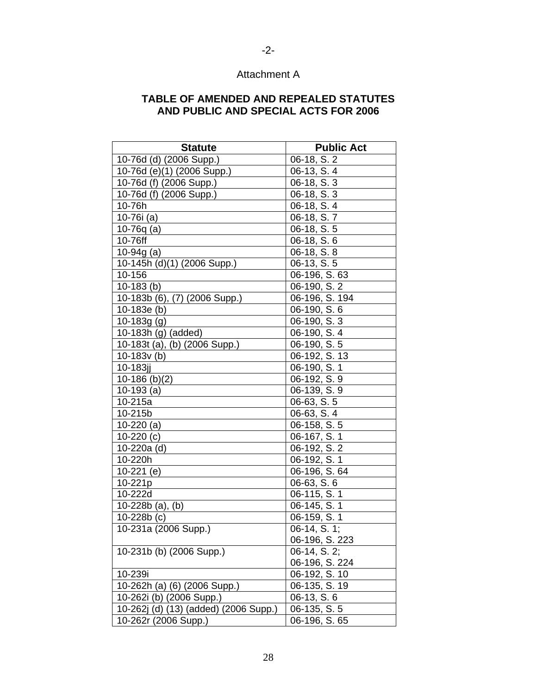#### Attachment A

#### **TABLE OF AMENDED AND REPEALED STATUTES AND PUBLIC AND SPECIAL ACTS FOR 2006**

| <b>Statute</b>                        | <b>Public Act</b>          |
|---------------------------------------|----------------------------|
| 10-76d (d) (2006 Supp.)               | 06-18, S. 2                |
| 10-76d (e)(1) (2006 Supp.)            | 06-13, S. 4                |
| 10-76d (f) (2006 Supp.)               | 06-18, S. 3                |
| 10-76d (f) (2006 Supp.)               | 06-18, S. 3                |
| 10-76h                                | 06-18, S. 4                |
| 10-76i (a)                            | 06-18, S. 7                |
| 10-76 $q$ (a)                         | 06-18, S. 5                |
| 10-76ff                               | $06-18, S.6$               |
| 10-94g $(a)$                          | 06-18, S. 8                |
| 10-145h (d)(1) (2006 Supp.)           | 06-13, S. 5                |
| 10-156                                | 06-196, S. 63              |
| $10-183$ (b)                          | 06-190, S. 2               |
| 10-183b (6), (7) (2006 Supp.)         | 06-196, S. 194             |
| $10-183e(b)$                          | 06-190, S. 6               |
| 10-183g (g)                           | 06-190, S. 3               |
| 10-183h (g) (added)                   | 06-190, S. 4               |
| 10-183t (a), (b) (2006 Supp.)         | 06-190, S. $\overline{5}$  |
| $10-183v(b)$                          | 06-192, S. 13              |
| 10-183jj                              | 06-190, S. 1               |
| 10-186 $(b)(2)$                       | 06-192, S. 9               |
| $10-193$ (a)                          | 06-139, S. 9               |
| 10-215a                               | 06-63, S. 5                |
| 10-215b                               | $06-63, S.4$               |
| $10-220$ (a)                          | 06-158, S. 5               |
| $10-220(c)$                           | 06-167, S. 1               |
| 10-220a (d)                           | 06-192, S. 2               |
| 10-220h                               | 06-192, S. 1               |
| 10-221 (e)                            | 06-196, S. 64              |
| 10-221p                               | 06-63, S. 6                |
| 10-222d                               | 06-115, S. 1               |
| $10-228b$ (a), (b)                    | 06-145, S. 1               |
| $10-228b(c)$                          | $\overline{06}$ -159, S. 1 |
| 10-231a (2006 Supp.)                  | 06-14, S. 1;               |
|                                       | 06-196, S. 223             |
| 10-231b (b) (2006 Supp.)              | 06-14, S. 2;               |
|                                       | 06-196, S. 224             |
| 10-239i                               | 06-192, S. 10              |
| 10-262h (a) (6) (2006 Supp.)          | 06-135, S. 19              |
| 10-262i (b) (2006 Supp.)              | 06-13, S. 6                |
| 10-262j (d) (13) (added) (2006 Supp.) | 06-135, S. 5               |
| 10-262r (2006 Supp.)                  | 06-196, S. 65              |